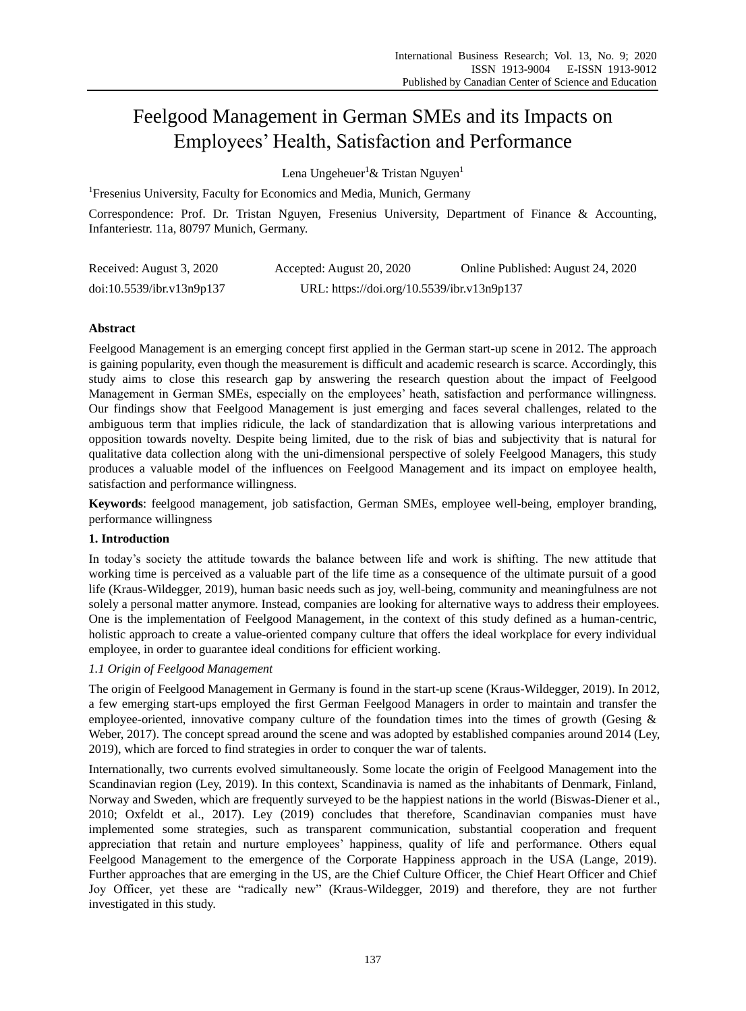# Feelgood Management in German SMEs and its Impacts on Employees' Health, Satisfaction and Performance

Lena Ungeheuer<sup>1</sup> & Tristan Nguyen<sup>1</sup>

<sup>1</sup>Fresenius University, Faculty for Economics and Media, Munich, Germany

Correspondence: Prof. Dr. Tristan Nguyen, Fresenius University, Department of Finance & Accounting, Infanteriestr. 11a, 80797 Munich, Germany.

| Received: August 3, 2020  | Accepted: August 20, 2020                  | Online Published: August 24, 2020 |
|---------------------------|--------------------------------------------|-----------------------------------|
| doi:10.5539/ibr.v13n9p137 | URL: https://doi.org/10.5539/ibr.v13n9p137 |                                   |

# **Abstract**

Feelgood Management is an emerging concept first applied in the German start-up scene in 2012. The approach is gaining popularity, even though the measurement is difficult and academic research is scarce. Accordingly, this study aims to close this research gap by answering the research question about the impact of Feelgood Management in German SMEs, especially on the employees' heath, satisfaction and performance willingness. Our findings show that Feelgood Management is just emerging and faces several challenges, related to the ambiguous term that implies ridicule, the lack of standardization that is allowing various interpretations and opposition towards novelty. Despite being limited, due to the risk of bias and subjectivity that is natural for qualitative data collection along with the uni-dimensional perspective of solely Feelgood Managers, this study produces a valuable model of the influences on Feelgood Management and its impact on employee health, satisfaction and performance willingness.

**Keywords**: feelgood management, job satisfaction, German SMEs, employee well-being, employer branding, performance willingness

# **1. Introduction**

In today's society the attitude towards the balance between life and work is shifting. The new attitude that working time is perceived as a valuable part of the life time as a consequence of the ultimate pursuit of a good life (Kraus-Wildegger, 2019), human basic needs such as joy, well-being, community and meaningfulness are not solely a personal matter anymore. Instead, companies are looking for alternative ways to address their employees. One is the implementation of Feelgood Management, in the context of this study defined as a human-centric, holistic approach to create a value-oriented company culture that offers the ideal workplace for every individual employee, in order to guarantee ideal conditions for efficient working.

# *1.1 Origin of Feelgood Management*

The origin of Feelgood Management in Germany is found in the start-up scene (Kraus-Wildegger, 2019). In 2012, a few emerging start-ups employed the first German Feelgood Managers in order to maintain and transfer the employee-oriented, innovative company culture of the foundation times into the times of growth (Gesing  $\&$ Weber, 2017). The concept spread around the scene and was adopted by established companies around 2014 (Ley, 2019), which are forced to find strategies in order to conquer the war of talents.

Internationally, two currents evolved simultaneously. Some locate the origin of Feelgood Management into the Scandinavian region (Ley, 2019). In this context, Scandinavia is named as the inhabitants of Denmark, Finland, Norway and Sweden, which are frequently surveyed to be the happiest nations in the world (Biswas-Diener et al., 2010; Oxfeldt et al., 2017). Ley (2019) concludes that therefore, Scandinavian companies must have implemented some strategies, such as transparent communication, substantial cooperation and frequent appreciation that retain and nurture employees' happiness, quality of life and performance. Others equal Feelgood Management to the emergence of the Corporate Happiness approach in the USA (Lange, 2019). Further approaches that are emerging in the US, are the Chief Culture Officer, the Chief Heart Officer and Chief Joy Officer, yet these are "radically new" (Kraus-Wildegger, 2019) and therefore, they are not further investigated in this study.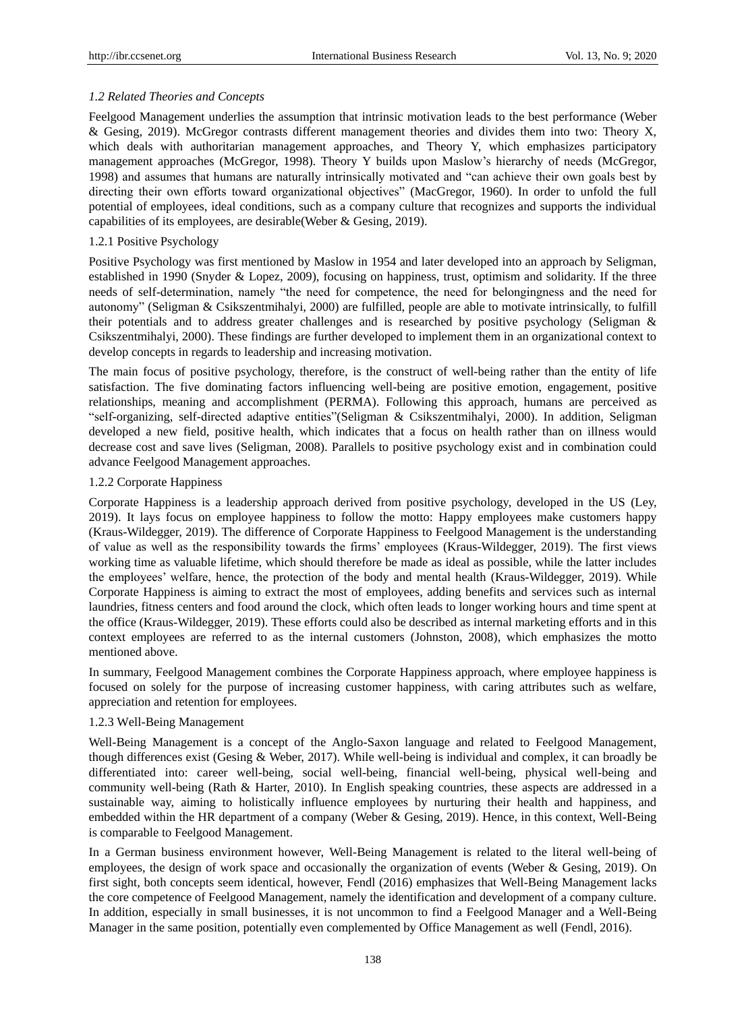# *1.2 Related Theories and Concepts*

Feelgood Management underlies the assumption that intrinsic motivation leads to the best performance (Weber & Gesing, 2019). McGregor contrasts different management theories and divides them into two: Theory X, which deals with authoritarian management approaches, and Theory Y, which emphasizes participatory management approaches (McGregor, 1998). Theory Y builds upon Maslow's hierarchy of needs (McGregor, 1998) and assumes that humans are naturally intrinsically motivated and "can achieve their own goals best by directing their own efforts toward organizational objectives" (MacGregor, 1960). In order to unfold the full potential of employees, ideal conditions, such as a company culture that recognizes and supports the individual capabilities of its employees, are desirable(Weber & Gesing, 2019).

# 1.2.1 Positive Psychology

Positive Psychology was first mentioned by Maslow in 1954 and later developed into an approach by Seligman, established in 1990 (Snyder & Lopez, 2009), focusing on happiness, trust, optimism and solidarity. If the three needs of self-determination, namely "the need for competence, the need for belongingness and the need for autonomy" (Seligman & Csikszentmihalyi, 2000) are fulfilled, people are able to motivate intrinsically, to fulfill their potentials and to address greater challenges and is researched by positive psychology (Seligman & Csikszentmihalyi, 2000). These findings are further developed to implement them in an organizational context to develop concepts in regards to leadership and increasing motivation.

The main focus of positive psychology, therefore, is the construct of well-being rather than the entity of life satisfaction. The five dominating factors influencing well-being are positive emotion, engagement, positive relationships, meaning and accomplishment (PERMA). Following this approach, humans are perceived as "self-organizing, self-directed adaptive entities"(Seligman & Csikszentmihalyi, 2000). In addition, Seligman developed a new field, positive health, which indicates that a focus on health rather than on illness would decrease cost and save lives (Seligman, 2008). Parallels to positive psychology exist and in combination could advance Feelgood Management approaches.

# 1.2.2 Corporate Happiness

Corporate Happiness is a leadership approach derived from positive psychology, developed in the US (Ley, 2019). It lays focus on employee happiness to follow the motto: Happy employees make customers happy (Kraus-Wildegger, 2019). The difference of Corporate Happiness to Feelgood Management is the understanding of value as well as the responsibility towards the firms' employees (Kraus-Wildegger, 2019). The first views working time as valuable lifetime, which should therefore be made as ideal as possible, while the latter includes the employees' welfare, hence, the protection of the body and mental health (Kraus-Wildegger, 2019). While Corporate Happiness is aiming to extract the most of employees, adding benefits and services such as internal laundries, fitness centers and food around the clock, which often leads to longer working hours and time spent at the office (Kraus-Wildegger, 2019). These efforts could also be described as internal marketing efforts and in this context employees are referred to as the internal customers (Johnston, 2008), which emphasizes the motto mentioned above.

In summary, Feelgood Management combines the Corporate Happiness approach, where employee happiness is focused on solely for the purpose of increasing customer happiness, with caring attributes such as welfare, appreciation and retention for employees.

# 1.2.3 Well-Being Management

Well-Being Management is a concept of the Anglo-Saxon language and related to Feelgood Management, though differences exist (Gesing & Weber, 2017). While well-being is individual and complex, it can broadly be differentiated into: career well-being, social well-being, financial well-being, physical well-being and community well-being (Rath & Harter, 2010). In English speaking countries, these aspects are addressed in a sustainable way, aiming to holistically influence employees by nurturing their health and happiness, and embedded within the HR department of a company (Weber & Gesing, 2019). Hence, in this context, Well-Being is comparable to Feelgood Management.

In a German business environment however, Well-Being Management is related to the literal well-being of employees, the design of work space and occasionally the organization of events (Weber & Gesing, 2019). On first sight, both concepts seem identical, however, Fendl (2016) emphasizes that Well-Being Management lacks the core competence of Feelgood Management, namely the identification and development of a company culture. In addition, especially in small businesses, it is not uncommon to find a Feelgood Manager and a Well-Being Manager in the same position, potentially even complemented by Office Management as well (Fendl, 2016).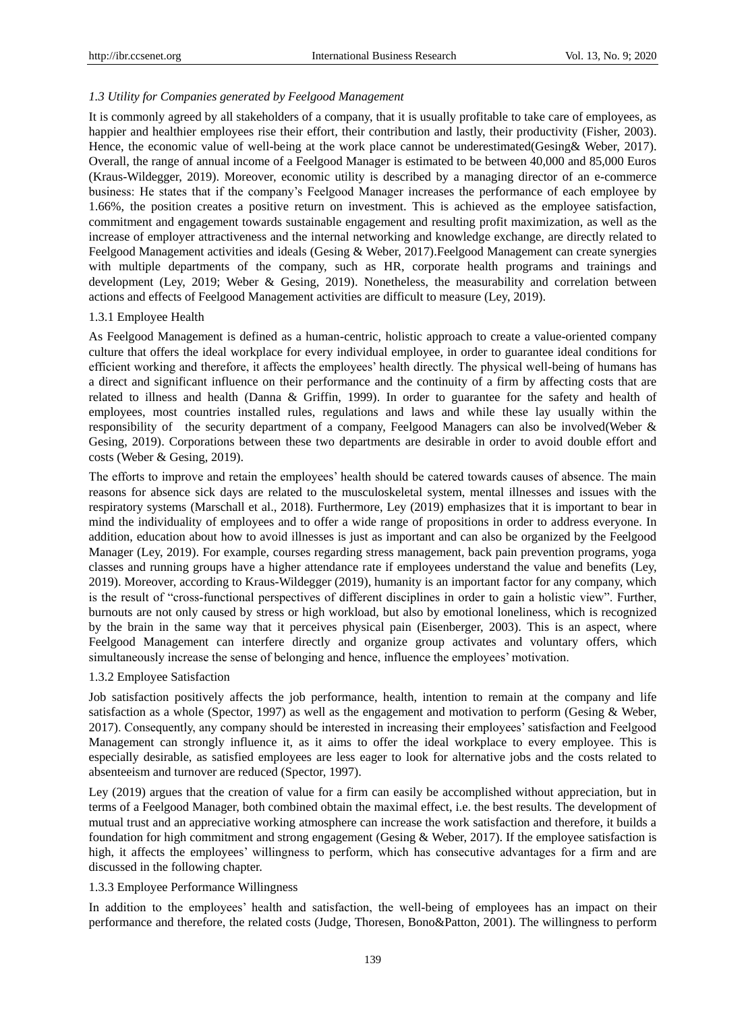# *1.3 Utility for Companies generated by Feelgood Management*

It is commonly agreed by all stakeholders of a company, that it is usually profitable to take care of employees, as happier and healthier employees rise their effort, their contribution and lastly, their productivity (Fisher, 2003). Hence, the economic value of well-being at the work place cannot be underestimated(Gesing& Weber, 2017). Overall, the range of annual income of a Feelgood Manager is estimated to be between 40,000 and 85,000 Euros (Kraus-Wildegger, 2019). Moreover, economic utility is described by a managing director of an e-commerce business: He states that if the company's Feelgood Manager increases the performance of each employee by 1.66%, the position creates a positive return on investment. This is achieved as the employee satisfaction, commitment and engagement towards sustainable engagement and resulting profit maximization, as well as the increase of employer attractiveness and the internal networking and knowledge exchange, are directly related to Feelgood Management activities and ideals (Gesing & Weber, 2017).Feelgood Management can create synergies with multiple departments of the company, such as HR, corporate health programs and trainings and development (Ley, 2019; Weber & Gesing, 2019). Nonetheless, the measurability and correlation between actions and effects of Feelgood Management activities are difficult to measure (Ley, 2019).

# 1.3.1 Employee Health

As Feelgood Management is defined as a human-centric, holistic approach to create a value-oriented company culture that offers the ideal workplace for every individual employee, in order to guarantee ideal conditions for efficient working and therefore, it affects the employees' health directly. The physical well-being of humans has a direct and significant influence on their performance and the continuity of a firm by affecting costs that are related to illness and health (Danna & Griffin, 1999). In order to guarantee for the safety and health of employees, most countries installed rules, regulations and laws and while these lay usually within the responsibility of the security department of a company, Feelgood Managers can also be involved(Weber & Gesing, 2019). Corporations between these two departments are desirable in order to avoid double effort and costs (Weber & Gesing, 2019).

The efforts to improve and retain the employees' health should be catered towards causes of absence. The main reasons for absence sick days are related to the musculoskeletal system, mental illnesses and issues with the respiratory systems (Marschall et al., 2018). Furthermore, Ley (2019) emphasizes that it is important to bear in mind the individuality of employees and to offer a wide range of propositions in order to address everyone. In addition, education about how to avoid illnesses is just as important and can also be organized by the Feelgood Manager (Ley, 2019). For example, courses regarding stress management, back pain prevention programs, yoga classes and running groups have a higher attendance rate if employees understand the value and benefits (Ley, 2019). Moreover, according to Kraus-Wildegger (2019), humanity is an important factor for any company, which is the result of "cross-functional perspectives of different disciplines in order to gain a holistic view". Further, burnouts are not only caused by stress or high workload, but also by emotional loneliness, which is recognized by the brain in the same way that it perceives physical pain (Eisenberger, 2003). This is an aspect, where Feelgood Management can interfere directly and organize group activates and voluntary offers, which simultaneously increase the sense of belonging and hence, influence the employees' motivation.

# 1.3.2 Employee Satisfaction

Job satisfaction positively affects the job performance, health, intention to remain at the company and life satisfaction as a whole (Spector, 1997) as well as the engagement and motivation to perform (Gesing & Weber, 2017). Consequently, any company should be interested in increasing their employees' satisfaction and Feelgood Management can strongly influence it, as it aims to offer the ideal workplace to every employee. This is especially desirable, as satisfied employees are less eager to look for alternative jobs and the costs related to absenteeism and turnover are reduced (Spector, 1997).

Ley (2019) argues that the creation of value for a firm can easily be accomplished without appreciation, but in terms of a Feelgood Manager, both combined obtain the maximal effect, i.e. the best results. The development of mutual trust and an appreciative working atmosphere can increase the work satisfaction and therefore, it builds a foundation for high commitment and strong engagement (Gesing & Weber, 2017). If the employee satisfaction is high, it affects the employees' willingness to perform, which has consecutive advantages for a firm and are discussed in the following chapter.

# 1.3.3 Employee Performance Willingness

In addition to the employees' health and satisfaction, the well-being of employees has an impact on their performance and therefore, the related costs (Judge, Thoresen, Bono&Patton, 2001). The willingness to perform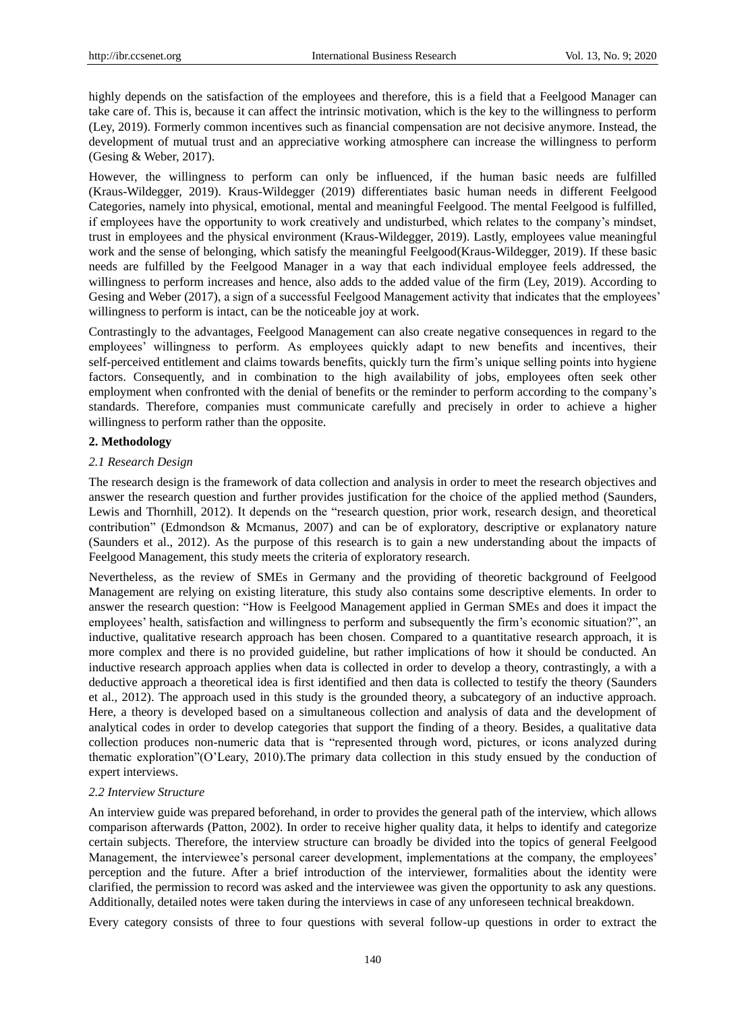highly depends on the satisfaction of the employees and therefore, this is a field that a Feelgood Manager can take care of. This is, because it can affect the intrinsic motivation, which is the key to the willingness to perform (Ley, 2019). Formerly common incentives such as financial compensation are not decisive anymore. Instead, the development of mutual trust and an appreciative working atmosphere can increase the willingness to perform (Gesing & Weber, 2017).

However, the willingness to perform can only be influenced, if the human basic needs are fulfilled (Kraus-Wildegger, 2019). Kraus-Wildegger (2019) differentiates basic human needs in different Feelgood Categories, namely into physical, emotional, mental and meaningful Feelgood. The mental Feelgood is fulfilled, if employees have the opportunity to work creatively and undisturbed, which relates to the company's mindset, trust in employees and the physical environment (Kraus-Wildegger, 2019). Lastly, employees value meaningful work and the sense of belonging, which satisfy the meaningful Feelgood(Kraus-Wildegger, 2019). If these basic needs are fulfilled by the Feelgood Manager in a way that each individual employee feels addressed, the willingness to perform increases and hence, also adds to the added value of the firm (Ley, 2019). According to Gesing and Weber (2017), a sign of a successful Feelgood Management activity that indicates that the employees' willingness to perform is intact, can be the noticeable joy at work.

Contrastingly to the advantages, Feelgood Management can also create negative consequences in regard to the employees' willingness to perform. As employees quickly adapt to new benefits and incentives, their self-perceived entitlement and claims towards benefits, quickly turn the firm's unique selling points into hygiene factors. Consequently, and in combination to the high availability of jobs, employees often seek other employment when confronted with the denial of benefits or the reminder to perform according to the company's standards. Therefore, companies must communicate carefully and precisely in order to achieve a higher willingness to perform rather than the opposite.

#### **2. Methodology**

#### *2.1 Research Design*

The research design is the framework of data collection and analysis in order to meet the research objectives and answer the research question and further provides justification for the choice of the applied method (Saunders, Lewis and Thornhill, 2012). It depends on the "research question, prior work, research design, and theoretical contribution" (Edmondson & Mcmanus, 2007) and can be of exploratory, descriptive or explanatory nature (Saunders et al., 2012). As the purpose of this research is to gain a new understanding about the impacts of Feelgood Management, this study meets the criteria of exploratory research.

Nevertheless, as the review of SMEs in Germany and the providing of theoretic background of Feelgood Management are relying on existing literature, this study also contains some descriptive elements. In order to answer the research question: "How is Feelgood Management applied in German SMEs and does it impact the employees' health, satisfaction and willingness to perform and subsequently the firm's economic situation?", an inductive, qualitative research approach has been chosen. Compared to a quantitative research approach, it is more complex and there is no provided guideline, but rather implications of how it should be conducted. An inductive research approach applies when data is collected in order to develop a theory, contrastingly, a with a deductive approach a theoretical idea is first identified and then data is collected to testify the theory (Saunders et al., 2012). The approach used in this study is the grounded theory, a subcategory of an inductive approach. Here, a theory is developed based on a simultaneous collection and analysis of data and the development of analytical codes in order to develop categories that support the finding of a theory. Besides, a qualitative data collection produces non-numeric data that is "represented through word, pictures, or icons analyzed during thematic exploration"(O'Leary, 2010).The primary data collection in this study ensued by the conduction of expert interviews.

#### *2.2 Interview Structure*

An interview guide was prepared beforehand, in order to provides the general path of the interview, which allows comparison afterwards (Patton, 2002). In order to receive higher quality data, it helps to identify and categorize certain subjects. Therefore, the interview structure can broadly be divided into the topics of general Feelgood Management, the interviewee's personal career development, implementations at the company, the employees' perception and the future. After a brief introduction of the interviewer, formalities about the identity were clarified, the permission to record was asked and the interviewee was given the opportunity to ask any questions. Additionally, detailed notes were taken during the interviews in case of any unforeseen technical breakdown.

Every category consists of three to four questions with several follow-up questions in order to extract the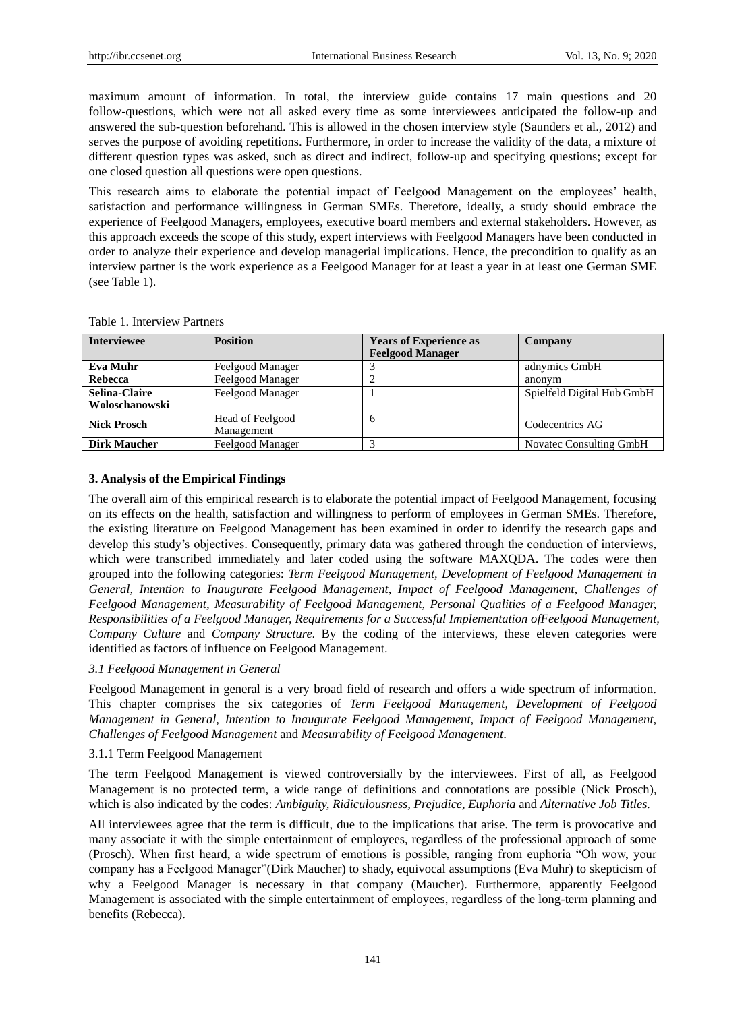maximum amount of information. In total, the interview guide contains 17 main questions and 20 follow-questions, which were not all asked every time as some interviewees anticipated the follow-up and answered the sub-question beforehand. This is allowed in the chosen interview style (Saunders et al., 2012) and serves the purpose of avoiding repetitions. Furthermore, in order to increase the validity of the data, a mixture of different question types was asked, such as direct and indirect, follow-up and specifying questions; except for one closed question all questions were open questions.

This research aims to elaborate the potential impact of Feelgood Management on the employees' health, satisfaction and performance willingness in German SMEs. Therefore, ideally, a study should embrace the experience of Feelgood Managers, employees, executive board members and external stakeholders. However, as this approach exceeds the scope of this study, expert interviews with Feelgood Managers have been conducted in order to analyze their experience and develop managerial implications. Hence, the precondition to qualify as an interview partner is the work experience as a Feelgood Manager for at least a year in at least one German SME (see Table 1).

| <b>Interviewee</b>   | <b>Position</b>                | <b>Years of Experience as</b><br><b>Feelgood Manager</b> | Company                    |
|----------------------|--------------------------------|----------------------------------------------------------|----------------------------|
| Eva Muhr             | Feelgood Manager               |                                                          | adnymics GmbH              |
| Rebecca              | Feelgood Manager               |                                                          | anonym                     |
| <b>Selina-Claire</b> | Feelgood Manager               |                                                          | Spielfeld Digital Hub GmbH |
| Woloschanowski       |                                |                                                          |                            |
| <b>Nick Prosch</b>   | Head of Feelgood<br>Management | <sub>6</sub>                                             | Codecentrics AG            |
| <b>Dirk Maucher</b>  | Feelgood Manager               |                                                          | Novatec Consulting GmbH    |

Table 1. Interview Partners

#### **3. Analysis of the Empirical Findings**

The overall aim of this empirical research is to elaborate the potential impact of Feelgood Management, focusing on its effects on the health, satisfaction and willingness to perform of employees in German SMEs. Therefore, the existing literature on Feelgood Management has been examined in order to identify the research gaps and develop this study's objectives. Consequently, primary data was gathered through the conduction of interviews, which were transcribed immediately and later coded using the software MAXQDA. The codes were then grouped into the following categories: *Term Feelgood Management, Development of Feelgood Management in General, Intention to Inaugurate Feelgood Management, Impact of Feelgood Management, Challenges of Feelgood Management, Measurability of Feelgood Management, Personal Qualities of a Feelgood Manager, Responsibilities of a Feelgood Manager, Requirements for a Successful Implementation ofFeelgood Management, Company Culture* and *Company Structure*. By the coding of the interviews, these eleven categories were identified as factors of influence on Feelgood Management.

# *3.1 Feelgood Management in General*

Feelgood Management in general is a very broad field of research and offers a wide spectrum of information. This chapter comprises the six categories of *Term Feelgood Management, Development of Feelgood Management in General, Intention to Inaugurate Feelgood Management, Impact of Feelgood Management, Challenges of Feelgood Management* and *Measurability of Feelgood Management*.

#### 3.1.1 Term Feelgood Management

The term Feelgood Management is viewed controversially by the interviewees. First of all, as Feelgood Management is no protected term, a wide range of definitions and connotations are possible (Nick Prosch), which is also indicated by the codes: *Ambiguity, Ridiculousness, Prejudice, Euphoria* and *Alternative Job Titles.*

All interviewees agree that the term is difficult, due to the implications that arise. The term is provocative and many associate it with the simple entertainment of employees, regardless of the professional approach of some (Prosch). When first heard, a wide spectrum of emotions is possible, ranging from euphoria "Oh wow, your company has a Feelgood Manager"(Dirk Maucher) to shady, equivocal assumptions (Eva Muhr) to skepticism of why a Feelgood Manager is necessary in that company (Maucher). Furthermore, apparently Feelgood Management is associated with the simple entertainment of employees, regardless of the long-term planning and benefits (Rebecca).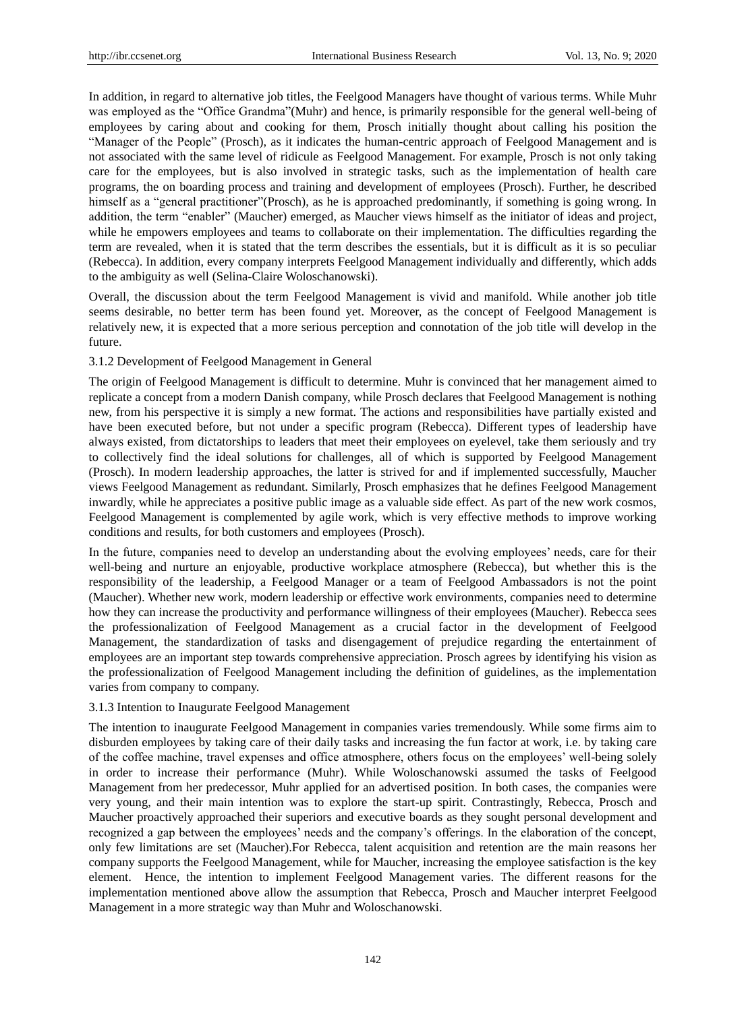In addition, in regard to alternative job titles, the Feelgood Managers have thought of various terms. While Muhr was employed as the "Office Grandma"(Muhr) and hence, is primarily responsible for the general well-being of employees by caring about and cooking for them, Prosch initially thought about calling his position the "Manager of the People" (Prosch), as it indicates the human-centric approach of Feelgood Management and is not associated with the same level of ridicule as Feelgood Management. For example, Prosch is not only taking care for the employees, but is also involved in strategic tasks, such as the implementation of health care programs, the on boarding process and training and development of employees (Prosch). Further, he described himself as a "general practitioner" (Prosch), as he is approached predominantly, if something is going wrong. In addition, the term "enabler" (Maucher) emerged, as Maucher views himself as the initiator of ideas and project, while he empowers employees and teams to collaborate on their implementation. The difficulties regarding the term are revealed, when it is stated that the term describes the essentials, but it is difficult as it is so peculiar (Rebecca). In addition, every company interprets Feelgood Management individually and differently, which adds to the ambiguity as well (Selina-Claire Woloschanowski).

Overall, the discussion about the term Feelgood Management is vivid and manifold. While another job title seems desirable, no better term has been found yet. Moreover, as the concept of Feelgood Management is relatively new, it is expected that a more serious perception and connotation of the job title will develop in the future.

#### 3.1.2 Development of Feelgood Management in General

The origin of Feelgood Management is difficult to determine. Muhr is convinced that her management aimed to replicate a concept from a modern Danish company, while Prosch declares that Feelgood Management is nothing new, from his perspective it is simply a new format. The actions and responsibilities have partially existed and have been executed before, but not under a specific program (Rebecca). Different types of leadership have always existed, from dictatorships to leaders that meet their employees on eyelevel, take them seriously and try to collectively find the ideal solutions for challenges, all of which is supported by Feelgood Management (Prosch). In modern leadership approaches, the latter is strived for and if implemented successfully, Maucher views Feelgood Management as redundant. Similarly, Prosch emphasizes that he defines Feelgood Management inwardly, while he appreciates a positive public image as a valuable side effect. As part of the new work cosmos, Feelgood Management is complemented by agile work, which is very effective methods to improve working conditions and results, for both customers and employees (Prosch).

In the future, companies need to develop an understanding about the evolving employees' needs, care for their well-being and nurture an enjoyable, productive workplace atmosphere (Rebecca), but whether this is the responsibility of the leadership, a Feelgood Manager or a team of Feelgood Ambassadors is not the point (Maucher). Whether new work, modern leadership or effective work environments, companies need to determine how they can increase the productivity and performance willingness of their employees (Maucher). Rebecca sees the professionalization of Feelgood Management as a crucial factor in the development of Feelgood Management, the standardization of tasks and disengagement of prejudice regarding the entertainment of employees are an important step towards comprehensive appreciation. Prosch agrees by identifying his vision as the professionalization of Feelgood Management including the definition of guidelines, as the implementation varies from company to company.

#### 3.1.3 Intention to Inaugurate Feelgood Management

The intention to inaugurate Feelgood Management in companies varies tremendously. While some firms aim to disburden employees by taking care of their daily tasks and increasing the fun factor at work, i.e. by taking care of the coffee machine, travel expenses and office atmosphere, others focus on the employees' well-being solely in order to increase their performance (Muhr). While Woloschanowski assumed the tasks of Feelgood Management from her predecessor, Muhr applied for an advertised position. In both cases, the companies were very young, and their main intention was to explore the start-up spirit. Contrastingly, Rebecca, Prosch and Maucher proactively approached their superiors and executive boards as they sought personal development and recognized a gap between the employees' needs and the company's offerings. In the elaboration of the concept, only few limitations are set (Maucher).For Rebecca, talent acquisition and retention are the main reasons her company supports the Feelgood Management, while for Maucher, increasing the employee satisfaction is the key element. Hence, the intention to implement Feelgood Management varies. The different reasons for the implementation mentioned above allow the assumption that Rebecca, Prosch and Maucher interpret Feelgood Management in a more strategic way than Muhr and Woloschanowski.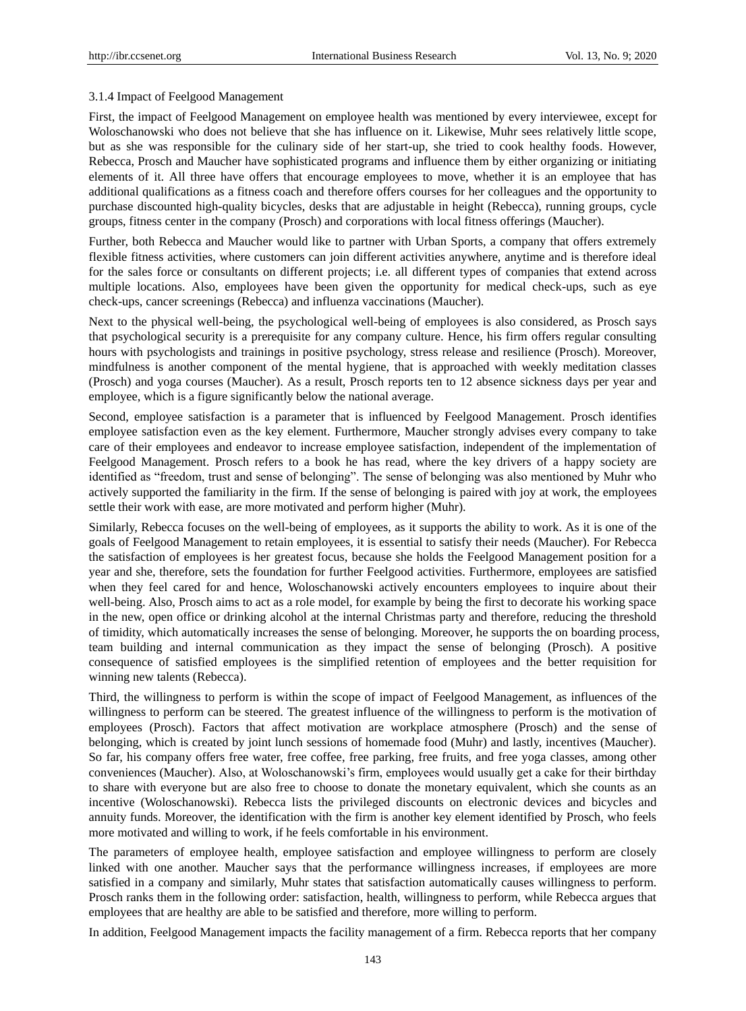#### 3.1.4 Impact of Feelgood Management

First, the impact of Feelgood Management on employee health was mentioned by every interviewee, except for Woloschanowski who does not believe that she has influence on it. Likewise, Muhr sees relatively little scope, but as she was responsible for the culinary side of her start-up, she tried to cook healthy foods. However, Rebecca, Prosch and Maucher have sophisticated programs and influence them by either organizing or initiating elements of it. All three have offers that encourage employees to move, whether it is an employee that has additional qualifications as a fitness coach and therefore offers courses for her colleagues and the opportunity to purchase discounted high-quality bicycles, desks that are adjustable in height (Rebecca), running groups, cycle groups, fitness center in the company (Prosch) and corporations with local fitness offerings (Maucher).

Further, both Rebecca and Maucher would like to partner with Urban Sports, a company that offers extremely flexible fitness activities, where customers can join different activities anywhere, anytime and is therefore ideal for the sales force or consultants on different projects; i.e. all different types of companies that extend across multiple locations. Also, employees have been given the opportunity for medical check-ups, such as eye check-ups, cancer screenings (Rebecca) and influenza vaccinations (Maucher).

Next to the physical well-being, the psychological well-being of employees is also considered, as Prosch says that psychological security is a prerequisite for any company culture. Hence, his firm offers regular consulting hours with psychologists and trainings in positive psychology, stress release and resilience (Prosch). Moreover, mindfulness is another component of the mental hygiene, that is approached with weekly meditation classes (Prosch) and yoga courses (Maucher). As a result, Prosch reports ten to 12 absence sickness days per year and employee, which is a figure significantly below the national average.

Second, employee satisfaction is a parameter that is influenced by Feelgood Management. Prosch identifies employee satisfaction even as the key element. Furthermore, Maucher strongly advises every company to take care of their employees and endeavor to increase employee satisfaction, independent of the implementation of Feelgood Management. Prosch refers to a book he has read, where the key drivers of a happy society are identified as "freedom, trust and sense of belonging". The sense of belonging was also mentioned by Muhr who actively supported the familiarity in the firm. If the sense of belonging is paired with joy at work, the employees settle their work with ease, are more motivated and perform higher (Muhr).

Similarly, Rebecca focuses on the well-being of employees, as it supports the ability to work. As it is one of the goals of Feelgood Management to retain employees, it is essential to satisfy their needs (Maucher). For Rebecca the satisfaction of employees is her greatest focus, because she holds the Feelgood Management position for a year and she, therefore, sets the foundation for further Feelgood activities. Furthermore, employees are satisfied when they feel cared for and hence, Woloschanowski actively encounters employees to inquire about their well-being. Also, Prosch aims to act as a role model, for example by being the first to decorate his working space in the new, open office or drinking alcohol at the internal Christmas party and therefore, reducing the threshold of timidity, which automatically increases the sense of belonging. Moreover, he supports the on boarding process, team building and internal communication as they impact the sense of belonging (Prosch). A positive consequence of satisfied employees is the simplified retention of employees and the better requisition for winning new talents (Rebecca).

Third, the willingness to perform is within the scope of impact of Feelgood Management, as influences of the willingness to perform can be steered. The greatest influence of the willingness to perform is the motivation of employees (Prosch). Factors that affect motivation are workplace atmosphere (Prosch) and the sense of belonging, which is created by joint lunch sessions of homemade food (Muhr) and lastly, incentives (Maucher). So far, his company offers free water, free coffee, free parking, free fruits, and free yoga classes, among other conveniences (Maucher). Also, at Woloschanowski's firm, employees would usually get a cake for their birthday to share with everyone but are also free to choose to donate the monetary equivalent, which she counts as an incentive (Woloschanowski). Rebecca lists the privileged discounts on electronic devices and bicycles and annuity funds. Moreover, the identification with the firm is another key element identified by Prosch, who feels more motivated and willing to work, if he feels comfortable in his environment.

The parameters of employee health, employee satisfaction and employee willingness to perform are closely linked with one another. Maucher says that the performance willingness increases, if employees are more satisfied in a company and similarly, Muhr states that satisfaction automatically causes willingness to perform. Prosch ranks them in the following order: satisfaction, health, willingness to perform, while Rebecca argues that employees that are healthy are able to be satisfied and therefore, more willing to perform.

In addition, Feelgood Management impacts the facility management of a firm. Rebecca reports that her company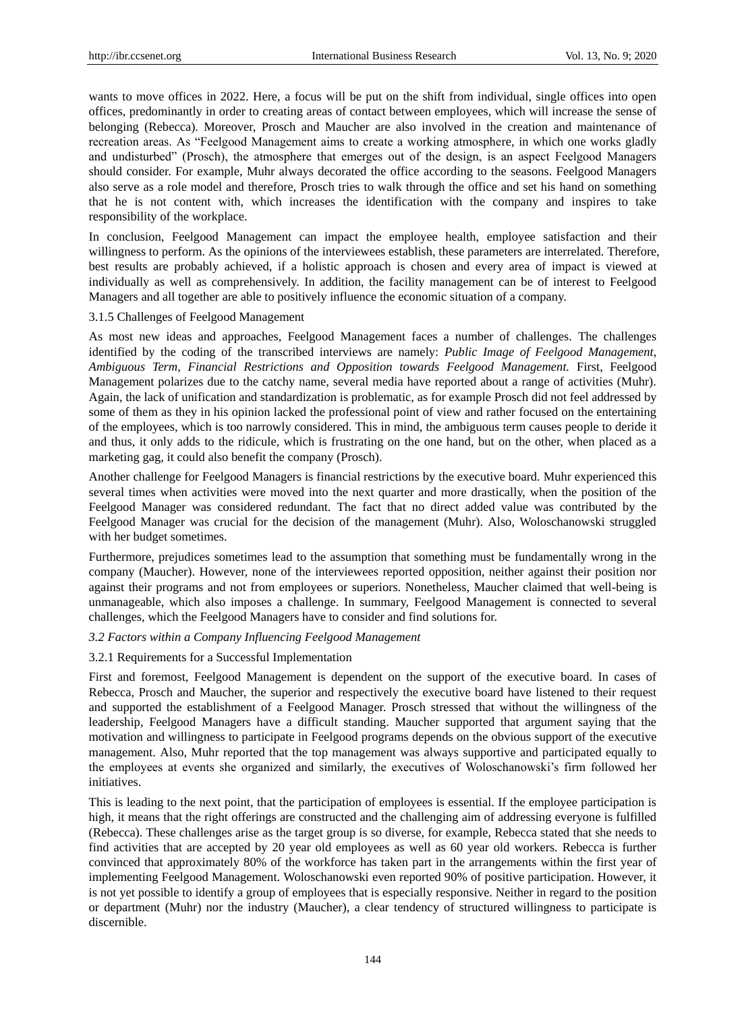wants to move offices in 2022. Here, a focus will be put on the shift from individual, single offices into open offices, predominantly in order to creating areas of contact between employees, which will increase the sense of belonging (Rebecca). Moreover, Prosch and Maucher are also involved in the creation and maintenance of recreation areas. As "Feelgood Management aims to create a working atmosphere, in which one works gladly and undisturbed" (Prosch), the atmosphere that emerges out of the design, is an aspect Feelgood Managers should consider. For example, Muhr always decorated the office according to the seasons. Feelgood Managers also serve as a role model and therefore, Prosch tries to walk through the office and set his hand on something that he is not content with, which increases the identification with the company and inspires to take responsibility of the workplace.

In conclusion, Feelgood Management can impact the employee health, employee satisfaction and their willingness to perform. As the opinions of the interviewees establish, these parameters are interrelated. Therefore, best results are probably achieved, if a holistic approach is chosen and every area of impact is viewed at individually as well as comprehensively. In addition, the facility management can be of interest to Feelgood Managers and all together are able to positively influence the economic situation of a company.

#### 3.1.5 Challenges of Feelgood Management

As most new ideas and approaches, Feelgood Management faces a number of challenges. The challenges identified by the coding of the transcribed interviews are namely: *Public Image of Feelgood Management, Ambiguous Term, Financial Restrictions and Opposition towards Feelgood Management.* First, Feelgood Management polarizes due to the catchy name, several media have reported about a range of activities (Muhr). Again, the lack of unification and standardization is problematic, as for example Prosch did not feel addressed by some of them as they in his opinion lacked the professional point of view and rather focused on the entertaining of the employees, which is too narrowly considered. This in mind, the ambiguous term causes people to deride it and thus, it only adds to the ridicule, which is frustrating on the one hand, but on the other, when placed as a marketing gag, it could also benefit the company (Prosch).

Another challenge for Feelgood Managers is financial restrictions by the executive board. Muhr experienced this several times when activities were moved into the next quarter and more drastically, when the position of the Feelgood Manager was considered redundant. The fact that no direct added value was contributed by the Feelgood Manager was crucial for the decision of the management (Muhr). Also, Woloschanowski struggled with her budget sometimes.

Furthermore, prejudices sometimes lead to the assumption that something must be fundamentally wrong in the company (Maucher). However, none of the interviewees reported opposition, neither against their position nor against their programs and not from employees or superiors. Nonetheless, Maucher claimed that well-being is unmanageable, which also imposes a challenge. In summary, Feelgood Management is connected to several challenges, which the Feelgood Managers have to consider and find solutions for.

#### *3.2 Factors within a Company Influencing Feelgood Management*

#### 3.2.1 Requirements for a Successful Implementation

First and foremost, Feelgood Management is dependent on the support of the executive board. In cases of Rebecca, Prosch and Maucher, the superior and respectively the executive board have listened to their request and supported the establishment of a Feelgood Manager. Prosch stressed that without the willingness of the leadership, Feelgood Managers have a difficult standing. Maucher supported that argument saying that the motivation and willingness to participate in Feelgood programs depends on the obvious support of the executive management. Also, Muhr reported that the top management was always supportive and participated equally to the employees at events she organized and similarly, the executives of Woloschanowski's firm followed her initiatives.

This is leading to the next point, that the participation of employees is essential. If the employee participation is high, it means that the right offerings are constructed and the challenging aim of addressing everyone is fulfilled (Rebecca). These challenges arise as the target group is so diverse, for example, Rebecca stated that she needs to find activities that are accepted by 20 year old employees as well as 60 year old workers. Rebecca is further convinced that approximately 80% of the workforce has taken part in the arrangements within the first year of implementing Feelgood Management. Woloschanowski even reported 90% of positive participation. However, it is not yet possible to identify a group of employees that is especially responsive. Neither in regard to the position or department (Muhr) nor the industry (Maucher), a clear tendency of structured willingness to participate is discernible.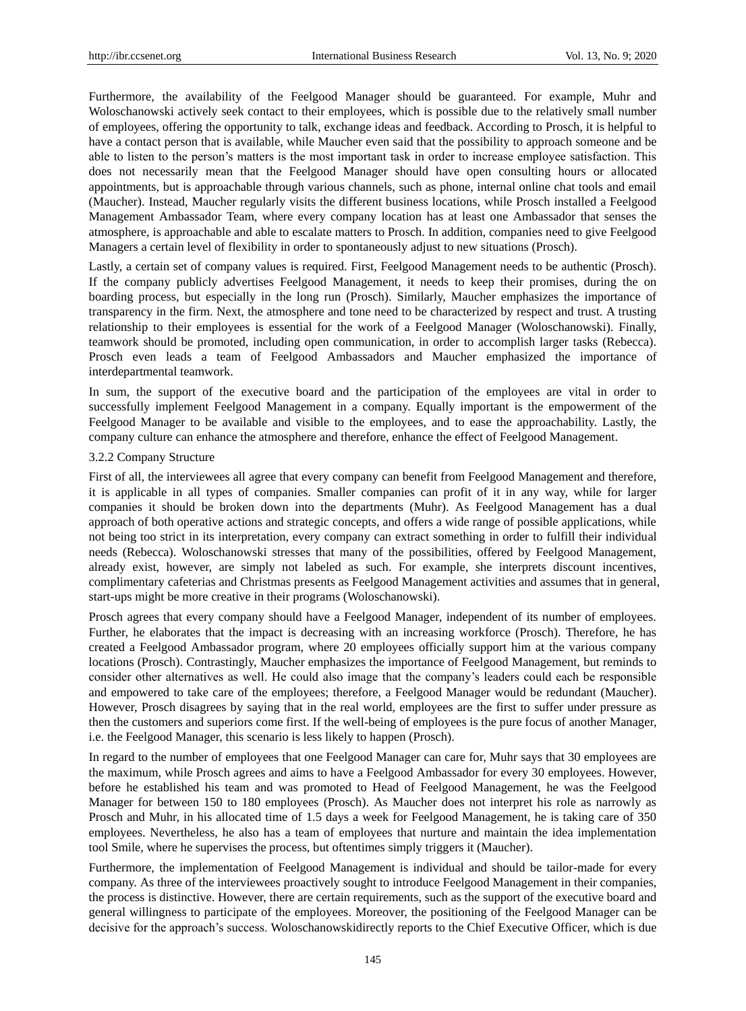Furthermore, the availability of the Feelgood Manager should be guaranteed. For example, Muhr and Woloschanowski actively seek contact to their employees, which is possible due to the relatively small number of employees, offering the opportunity to talk, exchange ideas and feedback. According to Prosch, it is helpful to have a contact person that is available, while Maucher even said that the possibility to approach someone and be able to listen to the person's matters is the most important task in order to increase employee satisfaction. This does not necessarily mean that the Feelgood Manager should have open consulting hours or allocated appointments, but is approachable through various channels, such as phone, internal online chat tools and email (Maucher). Instead, Maucher regularly visits the different business locations, while Prosch installed a Feelgood Management Ambassador Team, where every company location has at least one Ambassador that senses the atmosphere, is approachable and able to escalate matters to Prosch. In addition, companies need to give Feelgood Managers a certain level of flexibility in order to spontaneously adjust to new situations (Prosch).

Lastly, a certain set of company values is required. First, Feelgood Management needs to be authentic (Prosch). If the company publicly advertises Feelgood Management, it needs to keep their promises, during the on boarding process, but especially in the long run (Prosch). Similarly, Maucher emphasizes the importance of transparency in the firm. Next, the atmosphere and tone need to be characterized by respect and trust. A trusting relationship to their employees is essential for the work of a Feelgood Manager (Woloschanowski). Finally, teamwork should be promoted, including open communication, in order to accomplish larger tasks (Rebecca). Prosch even leads a team of Feelgood Ambassadors and Maucher emphasized the importance of interdepartmental teamwork.

In sum, the support of the executive board and the participation of the employees are vital in order to successfully implement Feelgood Management in a company. Equally important is the empowerment of the Feelgood Manager to be available and visible to the employees, and to ease the approachability. Lastly, the company culture can enhance the atmosphere and therefore, enhance the effect of Feelgood Management.

#### 3.2.2 Company Structure

First of all, the interviewees all agree that every company can benefit from Feelgood Management and therefore, it is applicable in all types of companies. Smaller companies can profit of it in any way, while for larger companies it should be broken down into the departments (Muhr). As Feelgood Management has a dual approach of both operative actions and strategic concepts, and offers a wide range of possible applications, while not being too strict in its interpretation, every company can extract something in order to fulfill their individual needs (Rebecca). Woloschanowski stresses that many of the possibilities, offered by Feelgood Management, already exist, however, are simply not labeled as such. For example, she interprets discount incentives, complimentary cafeterias and Christmas presents as Feelgood Management activities and assumes that in general, start-ups might be more creative in their programs (Woloschanowski).

Prosch agrees that every company should have a Feelgood Manager, independent of its number of employees. Further, he elaborates that the impact is decreasing with an increasing workforce (Prosch). Therefore, he has created a Feelgood Ambassador program, where 20 employees officially support him at the various company locations (Prosch). Contrastingly, Maucher emphasizes the importance of Feelgood Management, but reminds to consider other alternatives as well. He could also image that the company's leaders could each be responsible and empowered to take care of the employees; therefore, a Feelgood Manager would be redundant (Maucher). However, Prosch disagrees by saying that in the real world, employees are the first to suffer under pressure as then the customers and superiors come first. If the well-being of employees is the pure focus of another Manager, i.e. the Feelgood Manager, this scenario is less likely to happen (Prosch).

In regard to the number of employees that one Feelgood Manager can care for, Muhr says that 30 employees are the maximum, while Prosch agrees and aims to have a Feelgood Ambassador for every 30 employees. However, before he established his team and was promoted to Head of Feelgood Management, he was the Feelgood Manager for between 150 to 180 employees (Prosch). As Maucher does not interpret his role as narrowly as Prosch and Muhr, in his allocated time of 1.5 days a week for Feelgood Management, he is taking care of 350 employees. Nevertheless, he also has a team of employees that nurture and maintain the idea implementation tool Smile, where he supervises the process, but oftentimes simply triggers it (Maucher).

Furthermore, the implementation of Feelgood Management is individual and should be tailor-made for every company. As three of the interviewees proactively sought to introduce Feelgood Management in their companies, the process is distinctive. However, there are certain requirements, such as the support of the executive board and general willingness to participate of the employees. Moreover, the positioning of the Feelgood Manager can be decisive for the approach's success. Woloschanowskidirectly reports to the Chief Executive Officer, which is due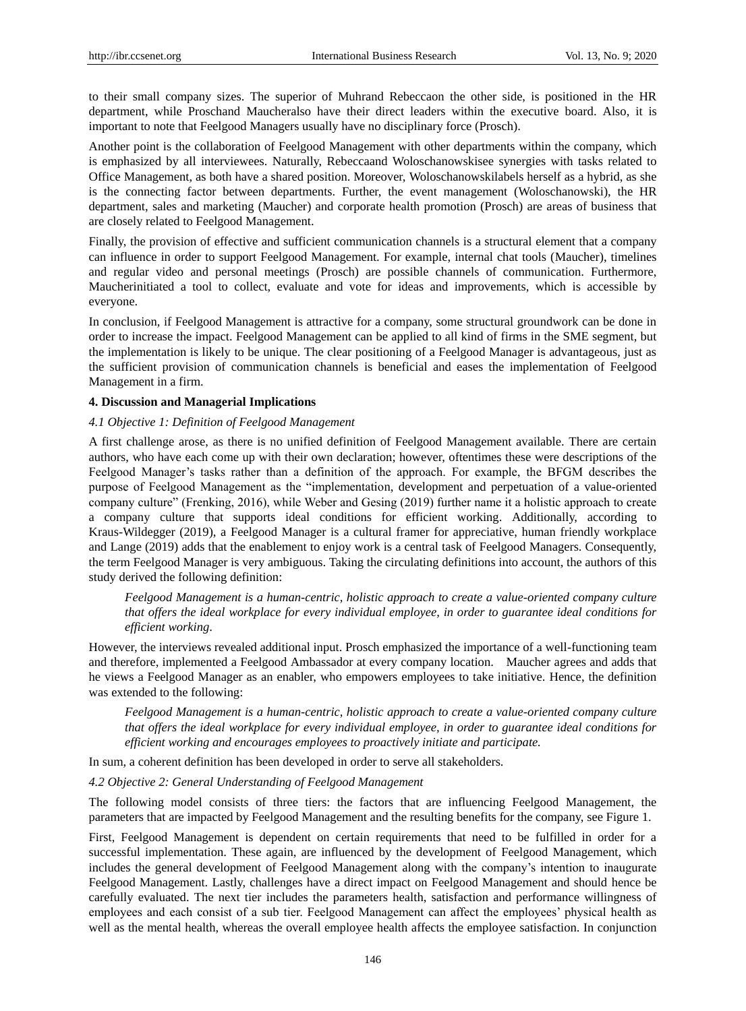to their small company sizes. The superior of Muhrand Rebeccaon the other side, is positioned in the HR department, while Proschand Maucheralso have their direct leaders within the executive board. Also, it is important to note that Feelgood Managers usually have no disciplinary force (Prosch).

Another point is the collaboration of Feelgood Management with other departments within the company, which is emphasized by all interviewees. Naturally, Rebeccaand Woloschanowskisee synergies with tasks related to Office Management, as both have a shared position. Moreover, Woloschanowskilabels herself as a hybrid, as she is the connecting factor between departments. Further, the event management (Woloschanowski), the HR department, sales and marketing (Maucher) and corporate health promotion (Prosch) are areas of business that are closely related to Feelgood Management.

Finally, the provision of effective and sufficient communication channels is a structural element that a company can influence in order to support Feelgood Management. For example, internal chat tools (Maucher), timelines and regular video and personal meetings (Prosch) are possible channels of communication. Furthermore, Maucherinitiated a tool to collect, evaluate and vote for ideas and improvements, which is accessible by everyone.

In conclusion, if Feelgood Management is attractive for a company, some structural groundwork can be done in order to increase the impact. Feelgood Management can be applied to all kind of firms in the SME segment, but the implementation is likely to be unique. The clear positioning of a Feelgood Manager is advantageous, just as the sufficient provision of communication channels is beneficial and eases the implementation of Feelgood Management in a firm.

#### **4. Discussion and Managerial Implications**

### *4.1 Objective 1: Definition of Feelgood Management*

A first challenge arose, as there is no unified definition of Feelgood Management available. There are certain authors, who have each come up with their own declaration; however, oftentimes these were descriptions of the Feelgood Manager's tasks rather than a definition of the approach. For example, the BFGM describes the purpose of Feelgood Management as the "implementation, development and perpetuation of a value-oriented company culture" (Frenking, 2016), while Weber and Gesing (2019) further name it a holistic approach to create a company culture that supports ideal conditions for efficient working. Additionally, according to Kraus-Wildegger (2019), a Feelgood Manager is a cultural framer for appreciative, human friendly workplace and Lange (2019) adds that the enablement to enjoy work is a central task of Feelgood Managers. Consequently, the term Feelgood Manager is very ambiguous. Taking the circulating definitions into account, the authors of this study derived the following definition:

*Feelgood Management is a human-centric, holistic approach to create a value-oriented company culture that offers the ideal workplace for every individual employee, in order to guarantee ideal conditions for efficient working*.

However, the interviews revealed additional input. Prosch emphasized the importance of a well-functioning team and therefore, implemented a Feelgood Ambassador at every company location. Maucher agrees and adds that he views a Feelgood Manager as an enabler, who empowers employees to take initiative. Hence, the definition was extended to the following:

*Feelgood Management is a human-centric, holistic approach to create a value-oriented company culture that offers the ideal workplace for every individual employee, in order to guarantee ideal conditions for efficient working and encourages employees to proactively initiate and participate.* 

In sum, a coherent definition has been developed in order to serve all stakeholders.

# *4.2 Objective 2: General Understanding of Feelgood Management*

The following model consists of three tiers: the factors that are influencing Feelgood Management, the parameters that are impacted by Feelgood Management and the resulting benefits for the company, see Figure 1.

First, Feelgood Management is dependent on certain requirements that need to be fulfilled in order for a successful implementation. These again, are influenced by the development of Feelgood Management, which includes the general development of Feelgood Management along with the company's intention to inaugurate Feelgood Management. Lastly, challenges have a direct impact on Feelgood Management and should hence be carefully evaluated. The next tier includes the parameters health, satisfaction and performance willingness of employees and each consist of a sub tier. Feelgood Management can affect the employees' physical health as well as the mental health, whereas the overall employee health affects the employee satisfaction. In conjunction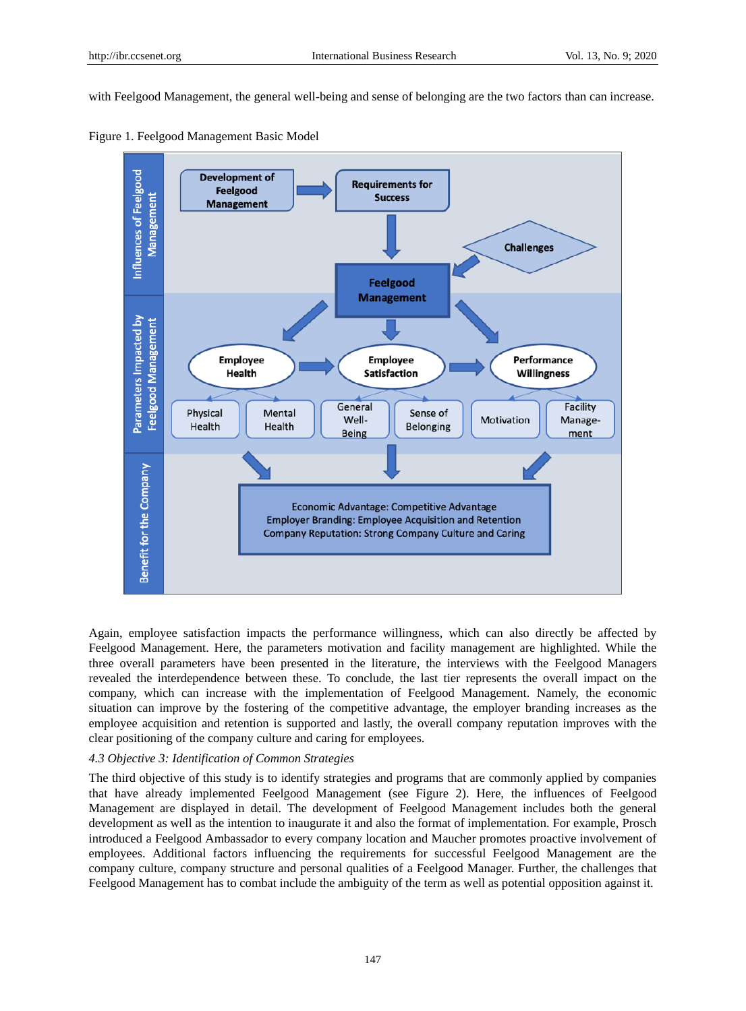with Feelgood Management, the general well-being and sense of belonging are the two factors than can increase.





Again, employee satisfaction impacts the performance willingness, which can also directly be affected by Feelgood Management. Here, the parameters motivation and facility management are highlighted. While the three overall parameters have been presented in the literature, the interviews with the Feelgood Managers revealed the interdependence between these. To conclude, the last tier represents the overall impact on the company, which can increase with the implementation of Feelgood Management. Namely, the economic situation can improve by the fostering of the competitive advantage, the employer branding increases as the employee acquisition and retention is supported and lastly, the overall company reputation improves with the clear positioning of the company culture and caring for employees.

# *4.3 Objective 3: Identification of Common Strategies*

The third objective of this study is to identify strategies and programs that are commonly applied by companies that have already implemented Feelgood Management (see Figure 2). Here, the influences of Feelgood Management are displayed in detail. The development of Feelgood Management includes both the general development as well as the intention to inaugurate it and also the format of implementation. For example, Prosch introduced a Feelgood Ambassador to every company location and Maucher promotes proactive involvement of employees. Additional factors influencing the requirements for successful Feelgood Management are the company culture, company structure and personal qualities of a Feelgood Manager. Further, the challenges that Feelgood Management has to combat include the ambiguity of the term as well as potential opposition against it.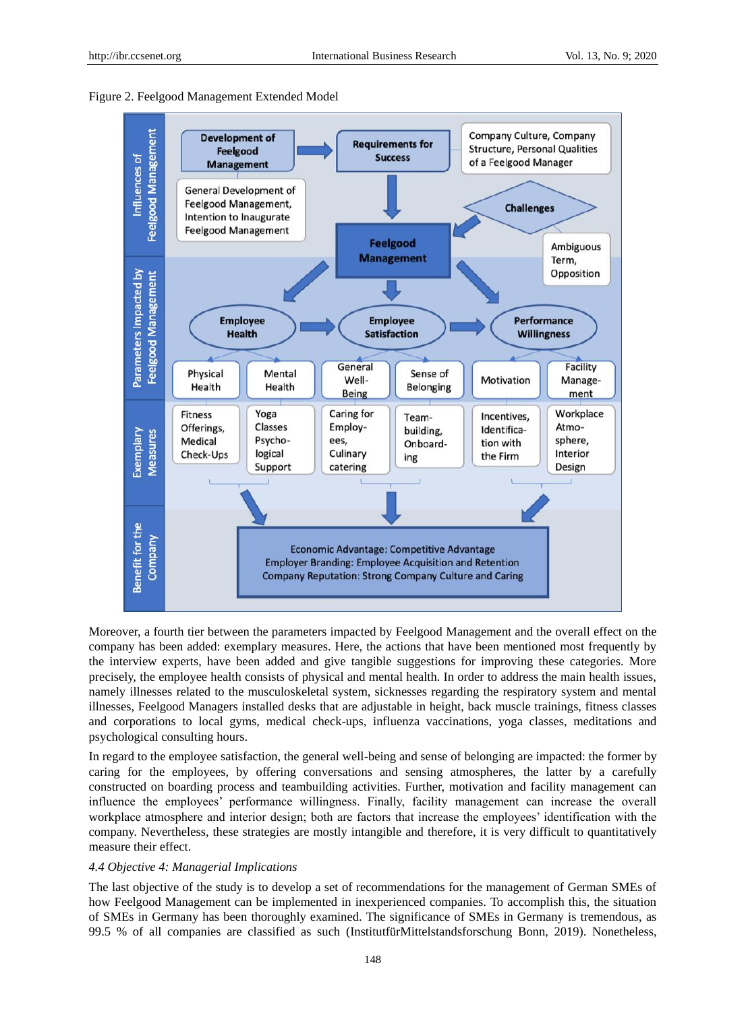



Moreover, a fourth tier between the parameters impacted by Feelgood Management and the overall effect on the company has been added: exemplary measures. Here, the actions that have been mentioned most frequently by the interview experts, have been added and give tangible suggestions for improving these categories. More precisely, the employee health consists of physical and mental health. In order to address the main health issues, namely illnesses related to the musculoskeletal system, sicknesses regarding the respiratory system and mental illnesses, Feelgood Managers installed desks that are adjustable in height, back muscle trainings, fitness classes and corporations to local gyms, medical check-ups, influenza vaccinations, yoga classes, meditations and psychological consulting hours.

In regard to the employee satisfaction, the general well-being and sense of belonging are impacted: the former by caring for the employees, by offering conversations and sensing atmospheres, the latter by a carefully constructed on boarding process and teambuilding activities. Further, motivation and facility management can influence the employees' performance willingness. Finally, facility management can increase the overall workplace atmosphere and interior design; both are factors that increase the employees' identification with the company. Nevertheless, these strategies are mostly intangible and therefore, it is very difficult to quantitatively measure their effect.

# *4.4 Objective 4: Managerial Implications*

The last objective of the study is to develop a set of recommendations for the management of German SMEs of how Feelgood Management can be implemented in inexperienced companies. To accomplish this, the situation of SMEs in Germany has been thoroughly examined. The significance of SMEs in Germany is tremendous, as 99.5 % of all companies are classified as such (InstitutfürMittelstandsforschung Bonn, 2019). Nonetheless,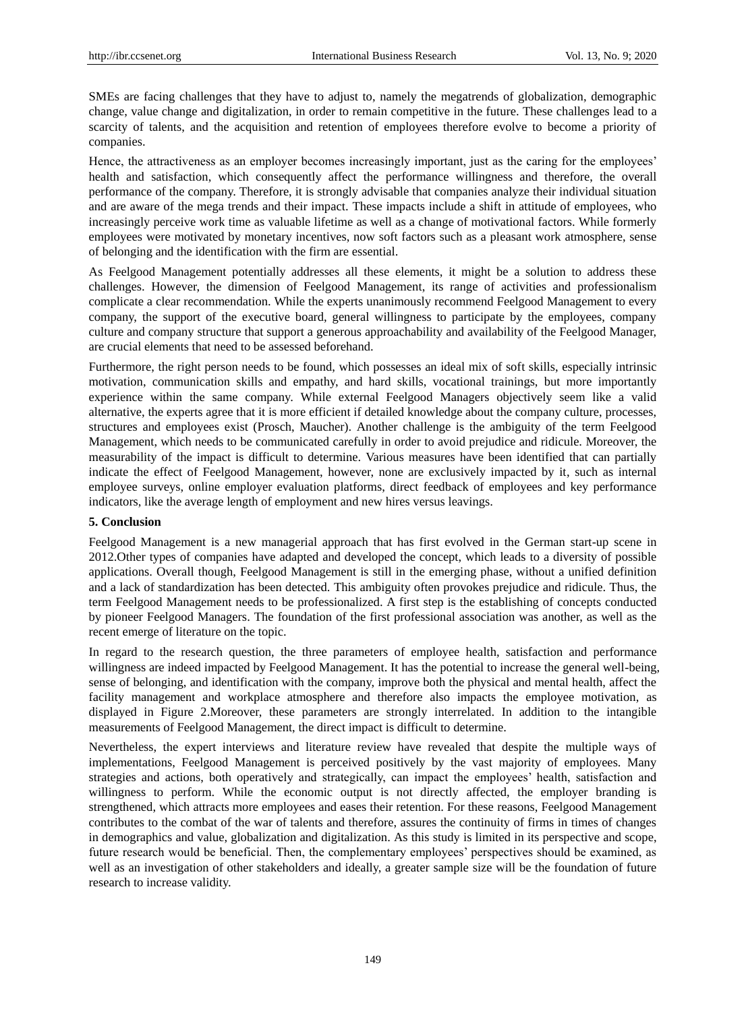SMEs are facing challenges that they have to adjust to, namely the megatrends of globalization, demographic change, value change and digitalization, in order to remain competitive in the future. These challenges lead to a scarcity of talents, and the acquisition and retention of employees therefore evolve to become a priority of companies.

Hence, the attractiveness as an employer becomes increasingly important, just as the caring for the employees' health and satisfaction, which consequently affect the performance willingness and therefore, the overall performance of the company. Therefore, it is strongly advisable that companies analyze their individual situation and are aware of the mega trends and their impact. These impacts include a shift in attitude of employees, who increasingly perceive work time as valuable lifetime as well as a change of motivational factors. While formerly employees were motivated by monetary incentives, now soft factors such as a pleasant work atmosphere, sense of belonging and the identification with the firm are essential.

As Feelgood Management potentially addresses all these elements, it might be a solution to address these challenges. However, the dimension of Feelgood Management, its range of activities and professionalism complicate a clear recommendation. While the experts unanimously recommend Feelgood Management to every company, the support of the executive board, general willingness to participate by the employees, company culture and company structure that support a generous approachability and availability of the Feelgood Manager, are crucial elements that need to be assessed beforehand.

Furthermore, the right person needs to be found, which possesses an ideal mix of soft skills, especially intrinsic motivation, communication skills and empathy, and hard skills, vocational trainings, but more importantly experience within the same company. While external Feelgood Managers objectively seem like a valid alternative, the experts agree that it is more efficient if detailed knowledge about the company culture, processes, structures and employees exist (Prosch, Maucher). Another challenge is the ambiguity of the term Feelgood Management, which needs to be communicated carefully in order to avoid prejudice and ridicule. Moreover, the measurability of the impact is difficult to determine. Various measures have been identified that can partially indicate the effect of Feelgood Management, however, none are exclusively impacted by it, such as internal employee surveys, online employer evaluation platforms, direct feedback of employees and key performance indicators, like the average length of employment and new hires versus leavings.

# **5. Conclusion**

Feelgood Management is a new managerial approach that has first evolved in the German start-up scene in 2012.Other types of companies have adapted and developed the concept, which leads to a diversity of possible applications. Overall though, Feelgood Management is still in the emerging phase, without a unified definition and a lack of standardization has been detected. This ambiguity often provokes prejudice and ridicule. Thus, the term Feelgood Management needs to be professionalized. A first step is the establishing of concepts conducted by pioneer Feelgood Managers. The foundation of the first professional association was another, as well as the recent emerge of literature on the topic.

In regard to the research question, the three parameters of employee health, satisfaction and performance willingness are indeed impacted by Feelgood Management. It has the potential to increase the general well-being, sense of belonging, and identification with the company, improve both the physical and mental health, affect the facility management and workplace atmosphere and therefore also impacts the employee motivation, as displayed in Figure 2.Moreover, these parameters are strongly interrelated. In addition to the intangible measurements of Feelgood Management, the direct impact is difficult to determine.

Nevertheless, the expert interviews and literature review have revealed that despite the multiple ways of implementations, Feelgood Management is perceived positively by the vast majority of employees. Many strategies and actions, both operatively and strategically, can impact the employees' health, satisfaction and willingness to perform. While the economic output is not directly affected, the employer branding is strengthened, which attracts more employees and eases their retention. For these reasons, Feelgood Management contributes to the combat of the war of talents and therefore, assures the continuity of firms in times of changes in demographics and value, globalization and digitalization. As this study is limited in its perspective and scope, future research would be beneficial. Then, the complementary employees' perspectives should be examined, as well as an investigation of other stakeholders and ideally, a greater sample size will be the foundation of future research to increase validity.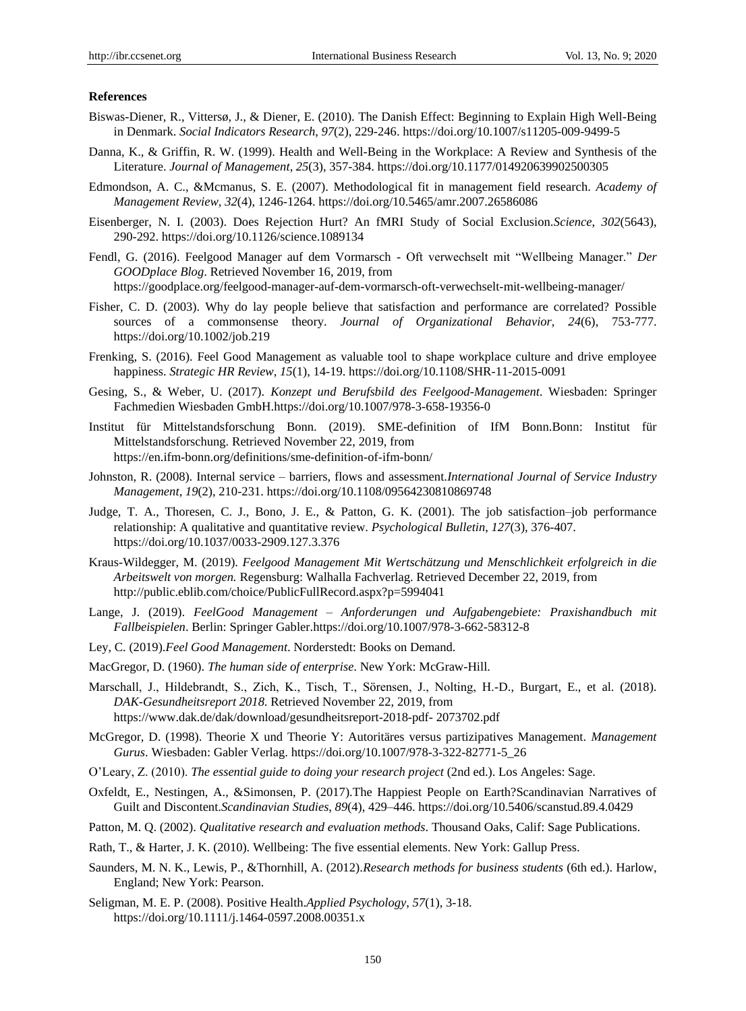#### **References**

- Biswas-Diener, R., Vittersø, J., & Diener, E. (2010). The Danish Effect: Beginning to Explain High Well-Being in Denmark. *Social Indicators Research*, *97*(2), 229-246. https://doi.org/10.1007/s11205-009-9499-5
- Danna, K., & Griffin, R. W. (1999). Health and Well-Being in the Workplace: A Review and Synthesis of the Literature. *Journal of Management*, *25*(3), 357-384. https://doi.org/10.1177/014920639902500305
- Edmondson, A. C., &Mcmanus, S. E. (2007). Methodological fit in management field research. *Academy of Management Review*, *32*(4), 1246-1264. https://doi.org/10.5465/amr.2007.26586086
- Eisenberger, N. I. (2003). Does Rejection Hurt? An fMRI Study of Social Exclusion.*Science*, *302*(5643), 290-292. https://doi.org/10.1126/science.1089134
- Fendl, G. (2016). Feelgood Manager auf dem Vormarsch Oft verwechselt mit "Wellbeing Manager." *Der GOODplace Blog*. Retrieved November 16, 2019, from https://goodplace.org/feelgood-manager-auf-dem-vormarsch-oft-verwechselt-mit-wellbeing-manager/
- Fisher, C. D. (2003). Why do lay people believe that satisfaction and performance are correlated? Possible sources of a commonsense theory. *Journal of Organizational Behavior*, *24*(6), 753-777. https://doi.org/10.1002/job.219
- Frenking, S. (2016). Feel Good Management as valuable tool to shape workplace culture and drive employee happiness. *Strategic HR Review*, *15*(1), 14-19. https://doi.org/10.1108/SHR-11-2015-0091
- Gesing, S., & Weber, U. (2017). *Konzept und Berufsbild des Feelgood-Management*. Wiesbaden: Springer Fachmedien Wiesbaden GmbH.https://doi.org/10.1007/978-3-658-19356-0
- Institut für Mittelstandsforschung Bonn. (2019). SME-definition of IfM Bonn.Bonn: Institut für Mittelstandsforschung. Retrieved November 22, 2019, from https://en.ifm-bonn.org/definitions/sme-definition-of-ifm-bonn/
- Johnston, R. (2008). Internal service barriers, flows and assessment.*International Journal of Service Industry Management*, *19*(2), 210-231. https://doi.org/10.1108/09564230810869748
- Judge, T. A., Thoresen, C. J., Bono, J. E., & Patton, G. K. (2001). The job satisfaction–job performance relationship: A qualitative and quantitative review. *Psychological Bulletin*, *127*(3), 376-407. https://doi.org/10.1037/0033-2909.127.3.376
- Kraus-Wildegger, M. (2019). *Feelgood Management Mit Wertschätzung und Menschlichkeit erfolgreich in die Arbeitswelt von morgen.* Regensburg: Walhalla Fachverlag. Retrieved December 22, 2019, from http://public.eblib.com/choice/PublicFullRecord.aspx?p=5994041
- Lange, J. (2019). *FeelGood Management – Anforderungen und Aufgabengebiete: Praxishandbuch mit Fallbeispielen*. Berlin: Springer Gabler.https://doi.org/10.1007/978-3-662-58312-8
- Ley, C. (2019).*Feel Good Management*. Norderstedt: Books on Demand.
- MacGregor, D. (1960). *The human side of enterprise*. New York: McGraw-Hill.
- Marschall, J., Hildebrandt, S., Zich, K., Tisch, T., Sörensen, J., Nolting, H.-D., Burgart, E., et al. (2018). *DAK-Gesundheitsreport 2018*. Retrieved November 22, 2019, from https://www.dak.de/dak/download/gesundheitsreport-2018-pdf- 2073702.pdf
- McGregor, D. (1998). Theorie X und Theorie Y: Autoritäres versus partizipatives Management. *Management Gurus*. Wiesbaden: Gabler Verlag. https://doi.org/10.1007/978-3-322-82771-5\_26
- O'Leary, Z. (2010). *The essential guide to doing your research project* (2nd ed.). Los Angeles: Sage.
- Oxfeldt, E., Nestingen, A., &Simonsen, P. (2017).The Happiest People on Earth?Scandinavian Narratives of Guilt and Discontent.*Scandinavian Studies*, *89*(4), 429–446. https://doi.org/10.5406/scanstud.89.4.0429
- Patton, M. Q. (2002). *Qualitative research and evaluation methods*. Thousand Oaks, Calif: Sage Publications.
- Rath, T., & Harter, J. K. (2010). Wellbeing: The five essential elements. New York: Gallup Press.
- Saunders, M. N. K., Lewis, P., &Thornhill, A. (2012).*Research methods for business students* (6th ed.). Harlow, England; New York: Pearson.
- Seligman, M. E. P. (2008). Positive Health.*Applied Psychology*, *57*(1), 3-18. https://doi.org/10.1111/j.1464-0597.2008.00351.x